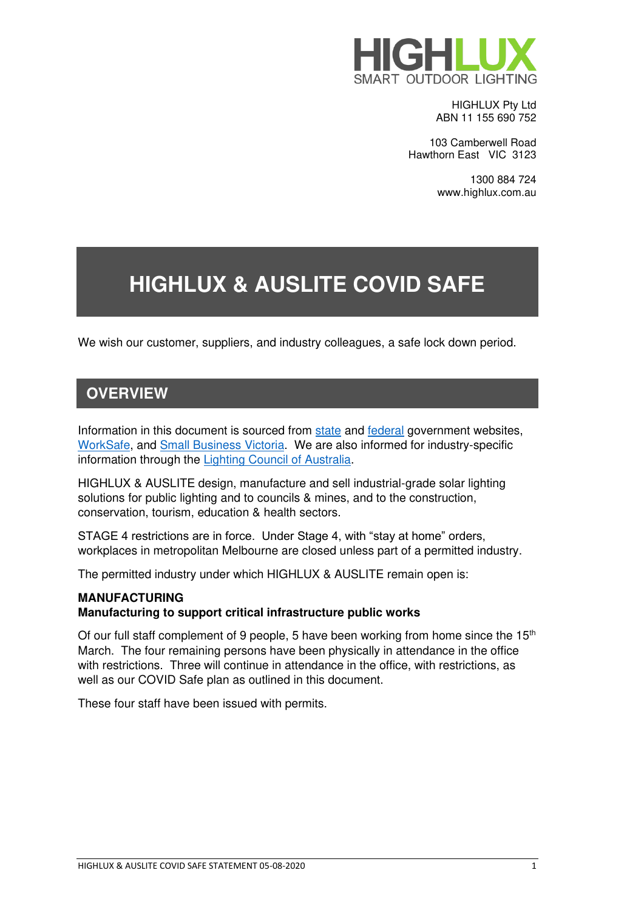

HIGHLUX Pty Ltd ABN 11 155 690 752

103 Camberwell Road Hawthorn East VIC 3123

> 1300 884 724 www.highlux.com.au

# **HIGHLUX & AUSLITE COVID SAFE**

We wish our customer, suppliers, and industry colleagues, a safe lock down period.

### **OVERVIEW**

Information in this document is sourced from [state](https://www.dhhs.vic.gov.au/coronavirus) and [federal](https://business.gov.au/Risk-management/Emergency-management/Coronavirus-information-and-support-for-business) government websites, [WorkSafe,](https://www.worksafe.vic.gov.au/coronavirus-covid-19) and [Small Business Victoria.](https://www.business.vic.gov.au/disputes-disasters-and-succession-planning/coronavirus-covid-19/coronavirus-business-support) We are also informed for industry-specific information through the [Lighting Council of Australia.](https://www.lightingcouncil.com.au/)

HIGHLUX & AUSLITE design, manufacture and sell industrial-grade solar lighting solutions for public lighting and to councils & mines, and to the construction, conservation, tourism, education & health sectors.

STAGE 4 restrictions are in force. Under Stage 4, with "stay at home" orders, workplaces in metropolitan Melbourne are closed unless part of a permitted industry.

The permitted industry under which HIGHLUX & AUSLITE remain open is:

#### **MANUFACTURING**

#### **Manufacturing to support critical infrastructure public works**

Of our full staff complement of 9 people, 5 have been working from home since the  $15<sup>th</sup>$ March. The four remaining persons have been physically in attendance in the office with restrictions. Three will continue in attendance in the office, with restrictions, as well as our COVID Safe plan as outlined in this document.

These four staff have been issued with permits.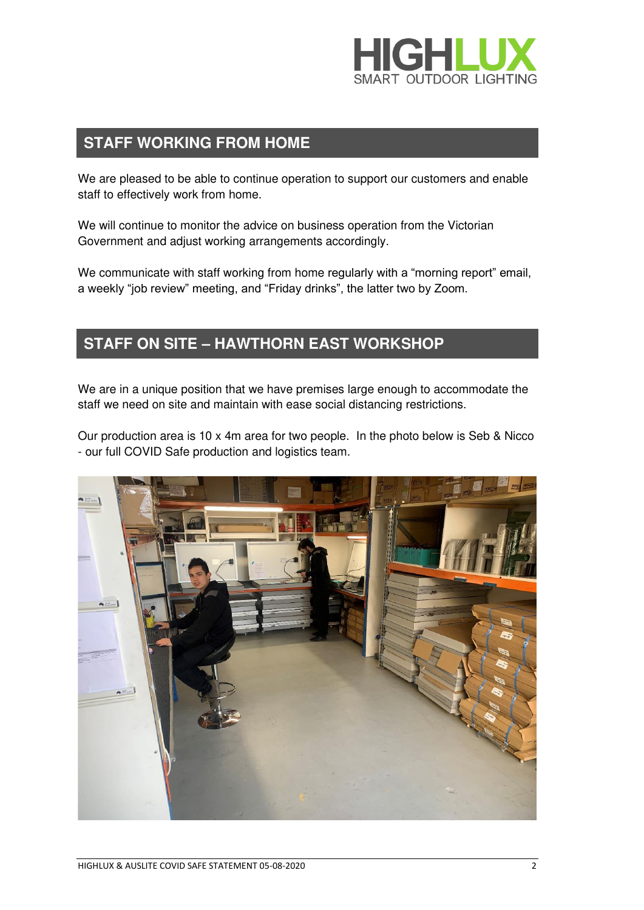

#### **STAFF WORKING FROM HOME**

We are pleased to be able to continue operation to support our customers and enable staff to effectively work from home.

We will continue to monitor the advice on business operation from the Victorian Government and adjust working arrangements accordingly.

We communicate with staff working from home regularly with a "morning report" email, a weekly "job review" meeting, and "Friday drinks", the latter two by Zoom.

#### **STAFF ON SITE – HAWTHORN EAST WORKSHOP**

We are in a unique position that we have premises large enough to accommodate the staff we need on site and maintain with ease social distancing restrictions.

Our production area is 10 x 4m area for two people. In the photo below is Seb & Nicco - our full COVID Safe production and logistics team.

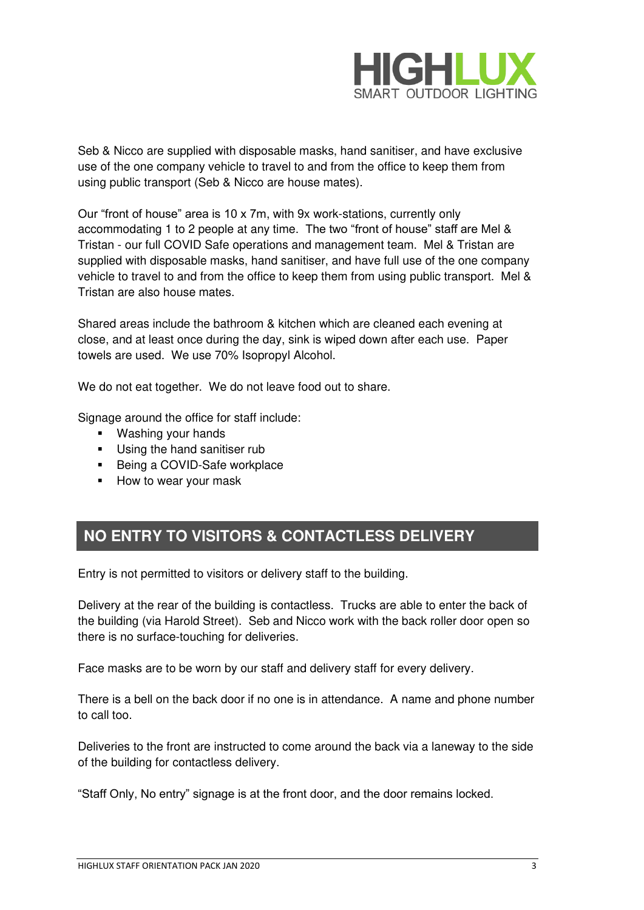

Seb & Nicco are supplied with disposable masks, hand sanitiser, and have exclusive use of the one company vehicle to travel to and from the office to keep them from using public transport (Seb & Nicco are house mates).

Our "front of house" area is 10 x 7m, with 9x work-stations, currently only accommodating 1 to 2 people at any time. The two "front of house" staff are Mel & Tristan - our full COVID Safe operations and management team. Mel & Tristan are supplied with disposable masks, hand sanitiser, and have full use of the one company vehicle to travel to and from the office to keep them from using public transport. Mel & Tristan are also house mates.

Shared areas include the bathroom & kitchen which are cleaned each evening at close, and at least once during the day, sink is wiped down after each use. Paper towels are used. We use 70% Isopropyl Alcohol.

We do not eat together. We do not leave food out to share.

Signage around the office for staff include:

- Washing your hands
- **■** Using the hand sanitiser rub
- Being a COVID-Safe workplace
- How to wear your mask

### **NO ENTRY TO VISITORS & CONTACTLESS DELIVERY**

Entry is not permitted to visitors or delivery staff to the building.

Delivery at the rear of the building is contactless. Trucks are able to enter the back of the building (via Harold Street). Seb and Nicco work with the back roller door open so there is no surface-touching for deliveries.

Face masks are to be worn by our staff and delivery staff for every delivery.

There is a bell on the back door if no one is in attendance. A name and phone number to call too.

Deliveries to the front are instructed to come around the back via a laneway to the side of the building for contactless delivery.

"Staff Only, No entry" signage is at the front door, and the door remains locked.